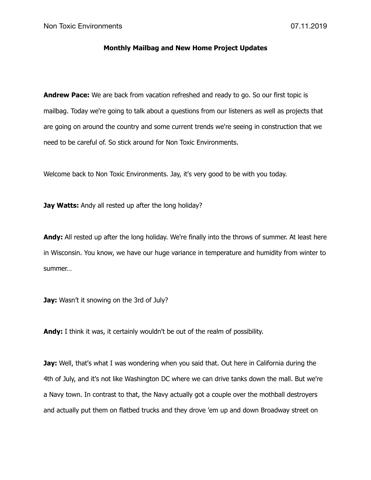## **Monthly Mailbag and New Home Project Updates**

**Andrew Pace:** We are back from vacation refreshed and ready to go. So our first topic is mailbag. Today we're going to talk about a questions from our listeners as well as projects that are going on around the country and some current trends we're seeing in construction that we need to be careful of. So stick around for Non Toxic Environments.

Welcome back to Non Toxic Environments. Jay, it's very good to be with you today.

**Jay Watts:** Andy all rested up after the long holiday?

**Andy:** All rested up after the long holiday. We're finally into the throws of summer. At least here in Wisconsin. You know, we have our huge variance in temperature and humidity from winter to summer…

**Jay:** Wasn't it snowing on the 3rd of July?

**Andy:** I think it was, it certainly wouldn't be out of the realm of possibility.

**Jay:** Well, that's what I was wondering when you said that. Out here in California during the 4th of July, and it's not like Washington DC where we can drive tanks down the mall. But we're a Navy town. In contrast to that, the Navy actually got a couple over the mothball destroyers and actually put them on flatbed trucks and they drove 'em up and down Broadway street on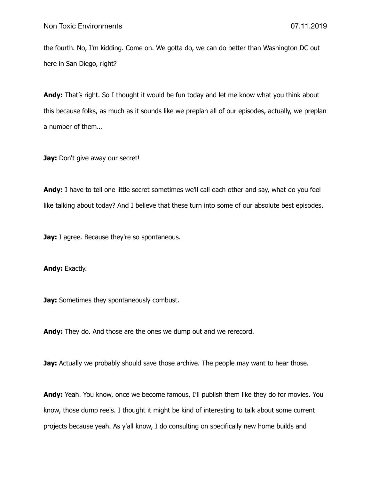the fourth. No, I'm kidding. Come on. We gotta do, we can do better than Washington DC out here in San Diego, right?

**Andy:** That's right. So I thought it would be fun today and let me know what you think about this because folks, as much as it sounds like we preplan all of our episodes, actually, we preplan a number of them…

Jay: Don't give away our secret!

**Andy:** I have to tell one little secret sometimes we'll call each other and say, what do you feel like talking about today? And I believe that these turn into some of our absolute best episodes.

**Jay:** I agree. Because they're so spontaneous.

Andy: Exactly.

**Jay:** Sometimes they spontaneously combust.

**Andy:** They do. And those are the ones we dump out and we rerecord.

**Jay:** Actually we probably should save those archive. The people may want to hear those.

**Andy:** Yeah. You know, once we become famous, I'll publish them like they do for movies. You know, those dump reels. I thought it might be kind of interesting to talk about some current projects because yeah. As y'all know, I do consulting on specifically new home builds and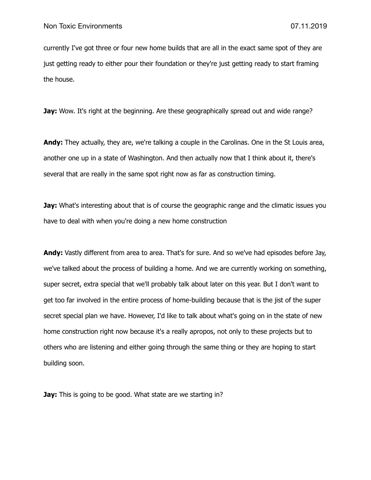currently I've got three or four new home builds that are all in the exact same spot of they are just getting ready to either pour their foundation or they're just getting ready to start framing the house.

**Jay:** Wow. It's right at the beginning. Are these geographically spread out and wide range?

**Andy:** They actually, they are, we're talking a couple in the Carolinas. One in the St Louis area, another one up in a state of Washington. And then actually now that I think about it, there's several that are really in the same spot right now as far as construction timing.

**Jay:** What's interesting about that is of course the geographic range and the climatic issues you have to deal with when you're doing a new home construction

**Andy:** Vastly different from area to area. That's for sure. And so we've had episodes before Jay, we've talked about the process of building a home. And we are currently working on something, super secret, extra special that we'll probably talk about later on this year. But I don't want to get too far involved in the entire process of home-building because that is the jist of the super secret special plan we have. However, I'd like to talk about what's going on in the state of new home construction right now because it's a really apropos, not only to these projects but to others who are listening and either going through the same thing or they are hoping to start building soon.

**Jay:** This is going to be good. What state are we starting in?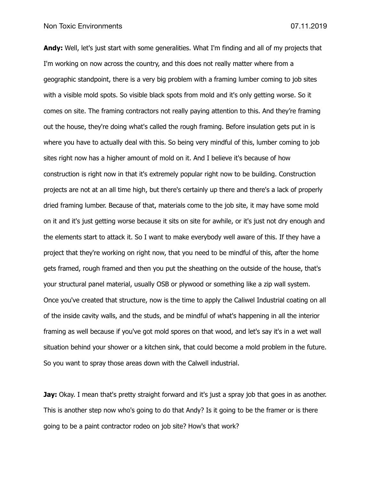**Andy:** Well, let's just start with some generalities. What I'm finding and all of my projects that I'm working on now across the country, and this does not really matter where from a geographic standpoint, there is a very big problem with a framing lumber coming to job sites with a visible mold spots. So visible black spots from mold and it's only getting worse. So it comes on site. The framing contractors not really paying attention to this. And they're framing out the house, they're doing what's called the rough framing. Before insulation gets put in is where you have to actually deal with this. So being very mindful of this, lumber coming to job sites right now has a higher amount of mold on it. And I believe it's because of how construction is right now in that it's extremely popular right now to be building. Construction projects are not at an all time high, but there's certainly up there and there's a lack of properly dried framing lumber. Because of that, materials come to the job site, it may have some mold on it and it's just getting worse because it sits on site for awhile, or it's just not dry enough and the elements start to attack it. So I want to make everybody well aware of this. If they have a project that they're working on right now, that you need to be mindful of this, after the home gets framed, rough framed and then you put the sheathing on the outside of the house, that's your structural panel material, usually OSB or plywood or something like a zip wall system. Once you've created that structure, now is the time to apply the Caliwel Industrial coating on all of the inside cavity walls, and the studs, and be mindful of what's happening in all the interior framing as well because if you've got mold spores on that wood, and let's say it's in a wet wall situation behind your shower or a kitchen sink, that could become a mold problem in the future. So you want to spray those areas down with the Calwell industrial.

**Jay:** Okay. I mean that's pretty straight forward and it's just a spray job that goes in as another. This is another step now who's going to do that Andy? Is it going to be the framer or is there going to be a paint contractor rodeo on job site? How's that work?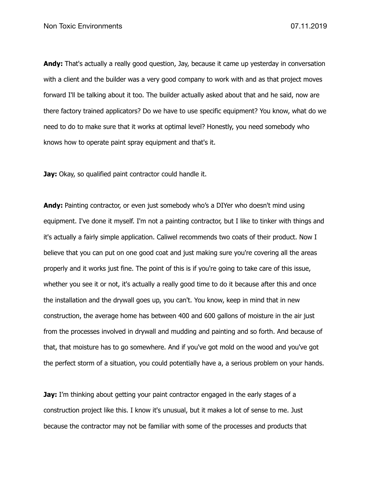**Andy:** That's actually a really good question, Jay, because it came up yesterday in conversation with a client and the builder was a very good company to work with and as that project moves forward I'll be talking about it too. The builder actually asked about that and he said, now are there factory trained applicators? Do we have to use specific equipment? You know, what do we need to do to make sure that it works at optimal level? Honestly, you need somebody who knows how to operate paint spray equipment and that's it.

**Jay:** Okay, so qualified paint contractor could handle it.

Andy: Painting contractor, or even just somebody who's a DIYer who doesn't mind using equipment. I've done it myself. I'm not a painting contractor, but I like to tinker with things and it's actually a fairly simple application. Caliwel recommends two coats of their product. Now I believe that you can put on one good coat and just making sure you're covering all the areas properly and it works just fine. The point of this is if you're going to take care of this issue, whether you see it or not, it's actually a really good time to do it because after this and once the installation and the drywall goes up, you can't. You know, keep in mind that in new construction, the average home has between 400 and 600 gallons of moisture in the air just from the processes involved in drywall and mudding and painting and so forth. And because of that, that moisture has to go somewhere. And if you've got mold on the wood and you've got the perfect storm of a situation, you could potentially have a, a serious problem on your hands.

**Jay:** I'm thinking about getting your paint contractor engaged in the early stages of a construction project like this. I know it's unusual, but it makes a lot of sense to me. Just because the contractor may not be familiar with some of the processes and products that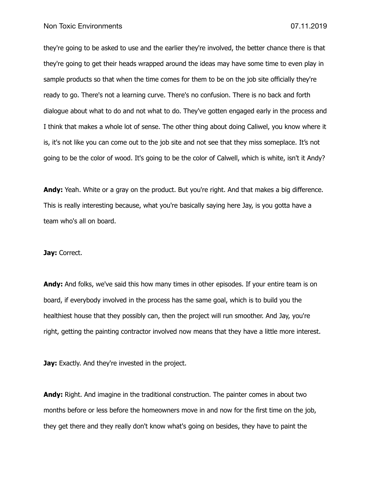they're going to be asked to use and the earlier they're involved, the better chance there is that they're going to get their heads wrapped around the ideas may have some time to even play in sample products so that when the time comes for them to be on the job site officially they're ready to go. There's not a learning curve. There's no confusion. There is no back and forth dialogue about what to do and not what to do. They've gotten engaged early in the process and I think that makes a whole lot of sense. The other thing about doing Caliwel, you know where it is, it's not like you can come out to the job site and not see that they miss someplace. It's not going to be the color of wood. It's going to be the color of Calwell, which is white, isn't it Andy?

Andy: Yeah. White or a gray on the product. But you're right. And that makes a big difference. This is really interesting because, what you're basically saying here Jay, is you gotta have a team who's all on board.

## **Jay:** Correct.

**Andy:** And folks, we've said this how many times in other episodes. If your entire team is on board, if everybody involved in the process has the same goal, which is to build you the healthiest house that they possibly can, then the project will run smoother. And Jay, you're right, getting the painting contractor involved now means that they have a little more interest.

**Jay:** Exactly. And they're invested in the project.

**Andy:** Right. And imagine in the traditional construction. The painter comes in about two months before or less before the homeowners move in and now for the first time on the job, they get there and they really don't know what's going on besides, they have to paint the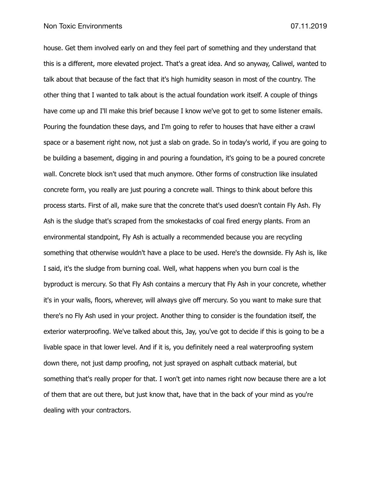house. Get them involved early on and they feel part of something and they understand that this is a different, more elevated project. That's a great idea. And so anyway, Caliwel, wanted to talk about that because of the fact that it's high humidity season in most of the country. The other thing that I wanted to talk about is the actual foundation work itself. A couple of things have come up and I'll make this brief because I know we've got to get to some listener emails. Pouring the foundation these days, and I'm going to refer to houses that have either a crawl space or a basement right now, not just a slab on grade. So in today's world, if you are going to be building a basement, digging in and pouring a foundation, it's going to be a poured concrete wall. Concrete block isn't used that much anymore. Other forms of construction like insulated concrete form, you really are just pouring a concrete wall. Things to think about before this process starts. First of all, make sure that the concrete that's used doesn't contain Fly Ash. Fly Ash is the sludge that's scraped from the smokestacks of coal fired energy plants. From an environmental standpoint, Fly Ash is actually a recommended because you are recycling something that otherwise wouldn't have a place to be used. Here's the downside. Fly Ash is, like I said, it's the sludge from burning coal. Well, what happens when you burn coal is the byproduct is mercury. So that Fly Ash contains a mercury that Fly Ash in your concrete, whether it's in your walls, floors, wherever, will always give off mercury. So you want to make sure that there's no Fly Ash used in your project. Another thing to consider is the foundation itself, the exterior waterproofing. We've talked about this, Jay, you've got to decide if this is going to be a livable space in that lower level. And if it is, you definitely need a real waterproofing system down there, not just damp proofing, not just sprayed on asphalt cutback material, but something that's really proper for that. I won't get into names right now because there are a lot of them that are out there, but just know that, have that in the back of your mind as you're dealing with your contractors.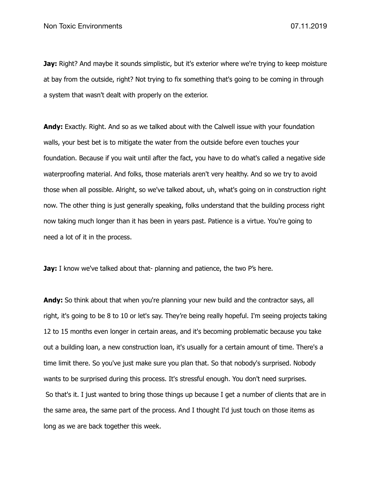**Jay:** Right? And maybe it sounds simplistic, but it's exterior where we're trying to keep moisture at bay from the outside, right? Not trying to fix something that's going to be coming in through a system that wasn't dealt with properly on the exterior.

Andy: Exactly. Right. And so as we talked about with the Calwell issue with your foundation walls, your best bet is to mitigate the water from the outside before even touches your foundation. Because if you wait until after the fact, you have to do what's called a negative side waterproofing material. And folks, those materials aren't very healthy. And so we try to avoid those when all possible. Alright, so we've talked about, uh, what's going on in construction right now. The other thing is just generally speaking, folks understand that the building process right now taking much longer than it has been in years past. Patience is a virtue. You're going to need a lot of it in the process.

**Jay:** I know we've talked about that- planning and patience, the two P's here.

Andy: So think about that when you're planning your new build and the contractor says, all right, it's going to be 8 to 10 or let's say. They're being really hopeful. I'm seeing projects taking 12 to 15 months even longer in certain areas, and it's becoming problematic because you take out a building loan, a new construction loan, it's usually for a certain amount of time. There's a time limit there. So you've just make sure you plan that. So that nobody's surprised. Nobody wants to be surprised during this process. It's stressful enough. You don't need surprises. So that's it. I just wanted to bring those things up because I get a number of clients that are in the same area, the same part of the process. And I thought I'd just touch on those items as long as we are back together this week.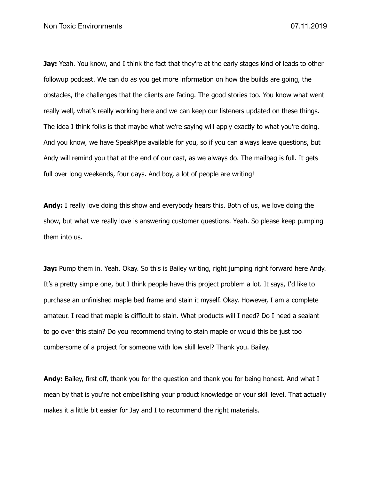**Jay:** Yeah. You know, and I think the fact that they're at the early stages kind of leads to other followup podcast. We can do as you get more information on how the builds are going, the obstacles, the challenges that the clients are facing. The good stories too. You know what went really well, what's really working here and we can keep our listeners updated on these things. The idea I think folks is that maybe what we're saying will apply exactly to what you're doing. And you know, we have SpeakPipe available for you, so if you can always leave questions, but Andy will remind you that at the end of our cast, as we always do. The mailbag is full. It gets full over long weekends, four days. And boy, a lot of people are writing!

**Andy:** I really love doing this show and everybody hears this. Both of us, we love doing the show, but what we really love is answering customer questions. Yeah. So please keep pumping them into us.

**Jay:** Pump them in. Yeah. Okay. So this is Bailey writing, right jumping right forward here Andy. It's a pretty simple one, but I think people have this project problem a lot. It says, I'd like to purchase an unfinished maple bed frame and stain it myself. Okay. However, I am a complete amateur. I read that maple is difficult to stain. What products will I need? Do I need a sealant to go over this stain? Do you recommend trying to stain maple or would this be just too cumbersome of a project for someone with low skill level? Thank you. Bailey.

**Andy:** Bailey, first off, thank you for the question and thank you for being honest. And what I mean by that is you're not embellishing your product knowledge or your skill level. That actually makes it a little bit easier for Jay and I to recommend the right materials.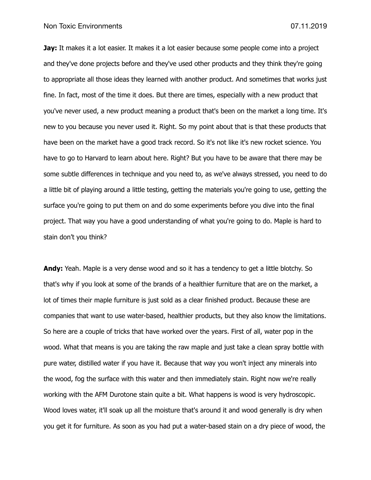**Jay:** It makes it a lot easier. It makes it a lot easier because some people come into a project and they've done projects before and they've used other products and they think they're going to appropriate all those ideas they learned with another product. And sometimes that works just fine. In fact, most of the time it does. But there are times, especially with a new product that you've never used, a new product meaning a product that's been on the market a long time. It's new to you because you never used it. Right. So my point about that is that these products that have been on the market have a good track record. So it's not like it's new rocket science. You have to go to Harvard to learn about here. Right? But you have to be aware that there may be some subtle differences in technique and you need to, as we've always stressed, you need to do a little bit of playing around a little testing, getting the materials you're going to use, getting the surface you're going to put them on and do some experiments before you dive into the final project. That way you have a good understanding of what you're going to do. Maple is hard to stain don't you think?

**Andy:** Yeah. Maple is a very dense wood and so it has a tendency to get a little blotchy. So that's why if you look at some of the brands of a healthier furniture that are on the market, a lot of times their maple furniture is just sold as a clear finished product. Because these are companies that want to use water-based, healthier products, but they also know the limitations. So here are a couple of tricks that have worked over the years. First of all, water pop in the wood. What that means is you are taking the raw maple and just take a clean spray bottle with pure water, distilled water if you have it. Because that way you won't inject any minerals into the wood, fog the surface with this water and then immediately stain. Right now we're really working with the AFM Durotone stain quite a bit. What happens is wood is very hydroscopic. Wood loves water, it'll soak up all the moisture that's around it and wood generally is dry when you get it for furniture. As soon as you had put a water-based stain on a dry piece of wood, the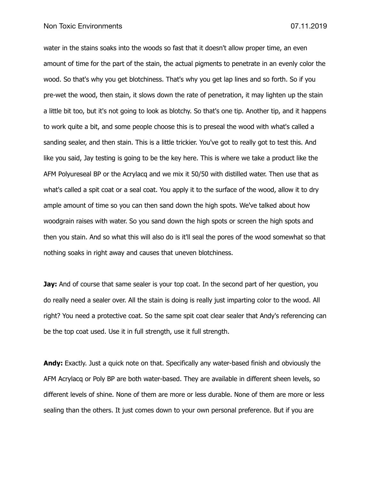water in the stains soaks into the woods so fast that it doesn't allow proper time, an even amount of time for the part of the stain, the actual pigments to penetrate in an evenly color the wood. So that's why you get blotchiness. That's why you get lap lines and so forth. So if you pre-wet the wood, then stain, it slows down the rate of penetration, it may lighten up the stain a little bit too, but it's not going to look as blotchy. So that's one tip. Another tip, and it happens to work quite a bit, and some people choose this is to preseal the wood with what's called a sanding sealer, and then stain. This is a little trickier. You've got to really got to test this. And like you said, Jay testing is going to be the key here. This is where we take a product like the AFM Polyureseal BP or the Acrylacq and we mix it 50/50 with distilled water. Then use that as what's called a spit coat or a seal coat. You apply it to the surface of the wood, allow it to dry ample amount of time so you can then sand down the high spots. We've talked about how woodgrain raises with water. So you sand down the high spots or screen the high spots and then you stain. And so what this will also do is it'll seal the pores of the wood somewhat so that nothing soaks in right away and causes that uneven blotchiness.

**Jay:** And of course that same sealer is your top coat. In the second part of her question, you do really need a sealer over. All the stain is doing is really just imparting color to the wood. All right? You need a protective coat. So the same spit coat clear sealer that Andy's referencing can be the top coat used. Use it in full strength, use it full strength.

**Andy:** Exactly. Just a quick note on that. Specifically any water-based finish and obviously the AFM Acrylacq or Poly BP are both water-based. They are available in different sheen levels, so different levels of shine. None of them are more or less durable. None of them are more or less sealing than the others. It just comes down to your own personal preference. But if you are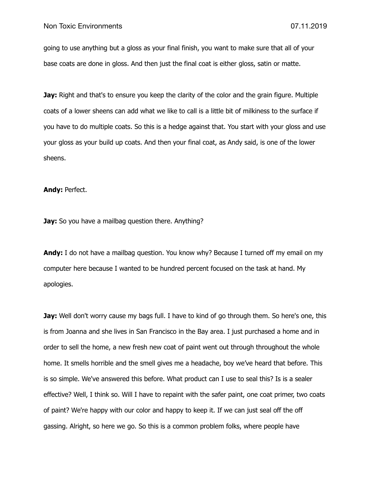going to use anything but a gloss as your final finish, you want to make sure that all of your base coats are done in gloss. And then just the final coat is either gloss, satin or matte.

**Jay:** Right and that's to ensure you keep the clarity of the color and the grain figure. Multiple coats of a lower sheens can add what we like to call is a little bit of milkiness to the surface if you have to do multiple coats. So this is a hedge against that. You start with your gloss and use your gloss as your build up coats. And then your final coat, as Andy said, is one of the lower sheens.

## **Andy:** Perfect.

**Jay:** So you have a mailbag question there. Anything?

**Andy:** I do not have a mailbag question. You know why? Because I turned off my email on my computer here because I wanted to be hundred percent focused on the task at hand. My apologies.

**Jay:** Well don't worry cause my bags full. I have to kind of go through them. So here's one, this is from Joanna and she lives in San Francisco in the Bay area. I just purchased a home and in order to sell the home, a new fresh new coat of paint went out through throughout the whole home. It smells horrible and the smell gives me a headache, boy we've heard that before. This is so simple. We've answered this before. What product can I use to seal this? Is is a sealer effective? Well, I think so. Will I have to repaint with the safer paint, one coat primer, two coats of paint? We're happy with our color and happy to keep it. If we can just seal off the off gassing. Alright, so here we go. So this is a common problem folks, where people have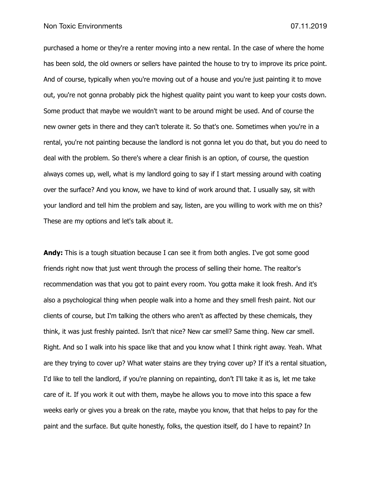## Non Toxic Environments **Non-American Control** Control of the USA of the USA of the USA of the USA of the USA of the USA of the USA of the USA of the USA of the USA of the USA of the USA of the USA of the USA of the USA of

purchased a home or they're a renter moving into a new rental. In the case of where the home has been sold, the old owners or sellers have painted the house to try to improve its price point. And of course, typically when you're moving out of a house and you're just painting it to move out, you're not gonna probably pick the highest quality paint you want to keep your costs down. Some product that maybe we wouldn't want to be around might be used. And of course the new owner gets in there and they can't tolerate it. So that's one. Sometimes when you're in a rental, you're not painting because the landlord is not gonna let you do that, but you do need to deal with the problem. So there's where a clear finish is an option, of course, the question always comes up, well, what is my landlord going to say if I start messing around with coating over the surface? And you know, we have to kind of work around that. I usually say, sit with your landlord and tell him the problem and say, listen, are you willing to work with me on this? These are my options and let's talk about it.

**Andy:** This is a tough situation because I can see it from both angles. I've got some good friends right now that just went through the process of selling their home. The realtor's recommendation was that you got to paint every room. You gotta make it look fresh. And it's also a psychological thing when people walk into a home and they smell fresh paint. Not our clients of course, but I'm talking the others who aren't as affected by these chemicals, they think, it was just freshly painted. Isn't that nice? New car smell? Same thing. New car smell. Right. And so I walk into his space like that and you know what I think right away. Yeah. What are they trying to cover up? What water stains are they trying cover up? If it's a rental situation, I'd like to tell the landlord, if you're planning on repainting, don't I'll take it as is, let me take care of it. If you work it out with them, maybe he allows you to move into this space a few weeks early or gives you a break on the rate, maybe you know, that that helps to pay for the paint and the surface. But quite honestly, folks, the question itself, do I have to repaint? In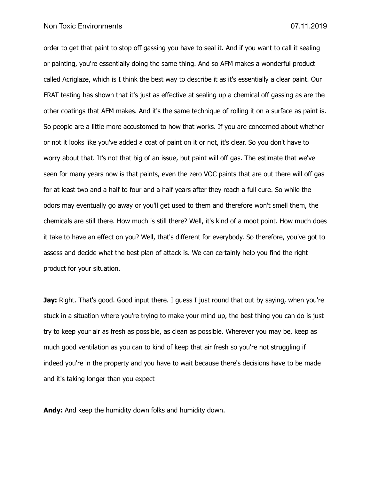order to get that paint to stop off gassing you have to seal it. And if you want to call it sealing or painting, you're essentially doing the same thing. And so AFM makes a wonderful product called Acriglaze, which is I think the best way to describe it as it's essentially a clear paint. Our FRAT testing has shown that it's just as effective at sealing up a chemical off gassing as are the other coatings that AFM makes. And it's the same technique of rolling it on a surface as paint is. So people are a little more accustomed to how that works. If you are concerned about whether or not it looks like you've added a coat of paint on it or not, it's clear. So you don't have to worry about that. It's not that big of an issue, but paint will off gas. The estimate that we've seen for many years now is that paints, even the zero VOC paints that are out there will off gas for at least two and a half to four and a half years after they reach a full cure. So while the odors may eventually go away or you'll get used to them and therefore won't smell them, the chemicals are still there. How much is still there? Well, it's kind of a moot point. How much does it take to have an effect on you? Well, that's different for everybody. So therefore, you've got to assess and decide what the best plan of attack is. We can certainly help you find the right product for your situation.

**Jay:** Right. That's good. Good input there. I guess I just round that out by saying, when you're stuck in a situation where you're trying to make your mind up, the best thing you can do is just try to keep your air as fresh as possible, as clean as possible. Wherever you may be, keep as much good ventilation as you can to kind of keep that air fresh so you're not struggling if indeed you're in the property and you have to wait because there's decisions have to be made and it's taking longer than you expect

**Andy:** And keep the humidity down folks and humidity down.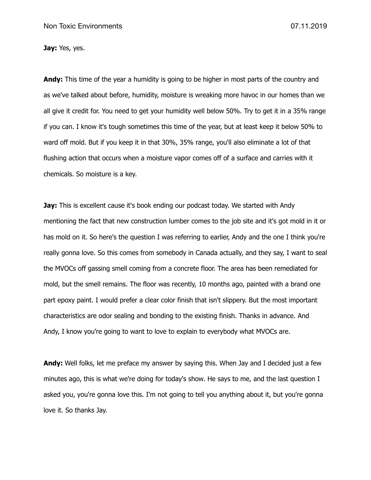**Jay:** Yes, yes.

**Andy:** This time of the year a humidity is going to be higher in most parts of the country and as we've talked about before, humidity, moisture is wreaking more havoc in our homes than we all give it credit for. You need to get your humidity well below 50%. Try to get it in a 35% range if you can. I know it's tough sometimes this time of the year, but at least keep it below 50% to ward off mold. But if you keep it in that 30%, 35% range, you'll also eliminate a lot of that flushing action that occurs when a moisture vapor comes off of a surface and carries with it chemicals. So moisture is a key.

**Jay:** This is excellent cause it's book ending our podcast today. We started with Andy mentioning the fact that new construction lumber comes to the job site and it's got mold in it or has mold on it. So here's the question I was referring to earlier, Andy and the one I think you're really gonna love. So this comes from somebody in Canada actually, and they say, I want to seal the MVOCs off gassing smell coming from a concrete floor. The area has been remediated for mold, but the smell remains. The floor was recently, 10 months ago, painted with a brand one part epoxy paint. I would prefer a clear color finish that isn't slippery. But the most important characteristics are odor sealing and bonding to the existing finish. Thanks in advance. And Andy, I know you're going to want to love to explain to everybody what MVOCs are.

**Andy:** Well folks, let me preface my answer by saying this. When Jay and I decided just a few minutes ago, this is what we're doing for today's show. He says to me, and the last question I asked you, you're gonna love this. I'm not going to tell you anything about it, but you're gonna love it. So thanks Jay.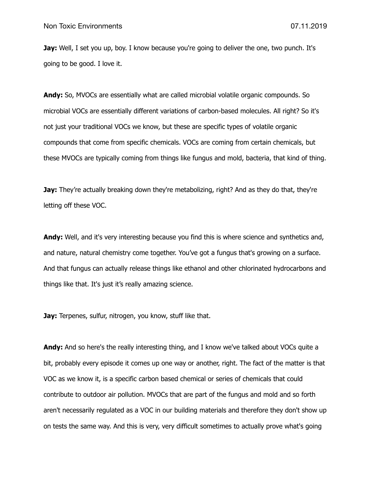**Jay:** Well, I set you up, boy. I know because you're going to deliver the one, two punch. It's going to be good. I love it.

**Andy:** So, MVOCs are essentially what are called microbial volatile organic compounds. So microbial VOCs are essentially different variations of carbon-based molecules. All right? So it's not just your traditional VOCs we know, but these are specific types of volatile organic compounds that come from specific chemicals. VOCs are coming from certain chemicals, but these MVOCs are typically coming from things like fungus and mold, bacteria, that kind of thing.

**Jay:** They're actually breaking down they're metabolizing, right? And as they do that, they're letting off these VOC.

**Andy:** Well, and it's very interesting because you find this is where science and synthetics and, and nature, natural chemistry come together. You've got a fungus that's growing on a surface. And that fungus can actually release things like ethanol and other chlorinated hydrocarbons and things like that. It's just it's really amazing science.

**Jay:** Terpenes, sulfur, nitrogen, you know, stuff like that.

**Andy:** And so here's the really interesting thing, and I know we've talked about VOCs quite a bit, probably every episode it comes up one way or another, right. The fact of the matter is that VOC as we know it, is a specific carbon based chemical or series of chemicals that could contribute to outdoor air pollution. MVOCs that are part of the fungus and mold and so forth aren't necessarily regulated as a VOC in our building materials and therefore they don't show up on tests the same way. And this is very, very difficult sometimes to actually prove what's going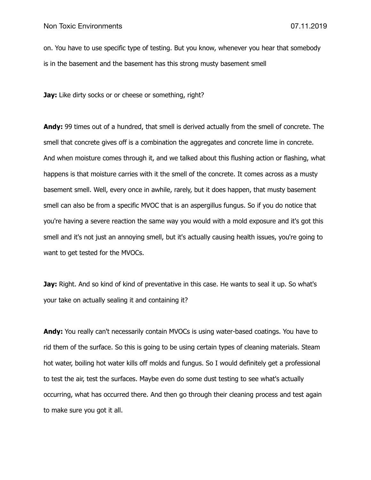on. You have to use specific type of testing. But you know, whenever you hear that somebody is in the basement and the basement has this strong musty basement smell

**Jay:** Like dirty socks or or cheese or something, right?

**Andy:** 99 times out of a hundred, that smell is derived actually from the smell of concrete. The smell that concrete gives off is a combination the aggregates and concrete lime in concrete. And when moisture comes through it, and we talked about this flushing action or flashing, what happens is that moisture carries with it the smell of the concrete. It comes across as a musty basement smell. Well, every once in awhile, rarely, but it does happen, that musty basement smell can also be from a specific MVOC that is an aspergillus fungus. So if you do notice that you're having a severe reaction the same way you would with a mold exposure and it's got this smell and it's not just an annoying smell, but it's actually causing health issues, you're going to want to get tested for the MVOCs.

**Jay:** Right. And so kind of kind of preventative in this case. He wants to seal it up. So what's your take on actually sealing it and containing it?

**Andy:** You really can't necessarily contain MVOCs is using water-based coatings. You have to rid them of the surface. So this is going to be using certain types of cleaning materials. Steam hot water, boiling hot water kills off molds and fungus. So I would definitely get a professional to test the air, test the surfaces. Maybe even do some dust testing to see what's actually occurring, what has occurred there. And then go through their cleaning process and test again to make sure you got it all.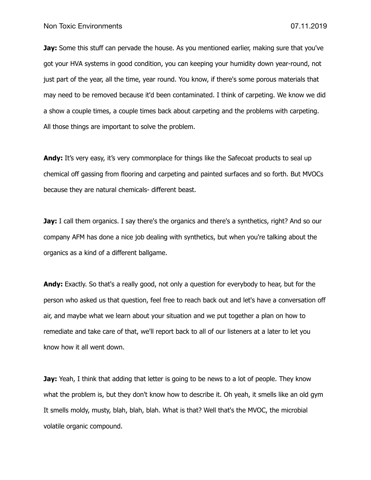**Jay:** Some this stuff can pervade the house. As you mentioned earlier, making sure that you've got your HVA systems in good condition, you can keeping your humidity down year-round, not just part of the year, all the time, year round. You know, if there's some porous materials that may need to be removed because it'd been contaminated. I think of carpeting. We know we did a show a couple times, a couple times back about carpeting and the problems with carpeting. All those things are important to solve the problem.

**Andy:** It's very easy, it's very commonplace for things like the Safecoat products to seal up chemical off gassing from flooring and carpeting and painted surfaces and so forth. But MVOCs because they are natural chemicals- different beast.

**Jay:** I call them organics. I say there's the organics and there's a synthetics, right? And so our company AFM has done a nice job dealing with synthetics, but when you're talking about the organics as a kind of a different ballgame.

**Andy:** Exactly. So that's a really good, not only a question for everybody to hear, but for the person who asked us that question, feel free to reach back out and let's have a conversation off air, and maybe what we learn about your situation and we put together a plan on how to remediate and take care of that, we'll report back to all of our listeners at a later to let you know how it all went down.

**Jay:** Yeah, I think that adding that letter is going to be news to a lot of people. They know what the problem is, but they don't know how to describe it. Oh yeah, it smells like an old gym It smells moldy, musty, blah, blah, blah. What is that? Well that's the MVOC, the microbial volatile organic compound.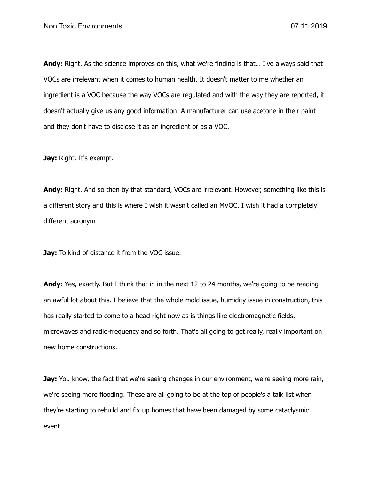**Andy:** Right. As the science improves on this, what we're finding is that… I've always said that VOCs are irrelevant when it comes to human health. It doesn't matter to me whether an ingredient is a VOC because the way VOCs are regulated and with the way they are reported, it doesn't actually give us any good information. A manufacturer can use acetone in their paint and they don't have to disclose it as an ingredient or as a VOC.

**Jay:** Right. It's exempt.

**Andy:** Right. And so then by that standard, VOCs are irrelevant. However, something like this is a different story and this is where I wish it wasn't called an MVOC. I wish it had a completely different acronym

**Jay:** To kind of distance it from the VOC issue.

**Andy:** Yes, exactly. But I think that in in the next 12 to 24 months, we're going to be reading an awful lot about this. I believe that the whole mold issue, humidity issue in construction, this has really started to come to a head right now as is things like electromagnetic fields, microwaves and radio-frequency and so forth. That's all going to get really, really important on new home constructions.

**Jay:** You know, the fact that we're seeing changes in our environment, we're seeing more rain, we're seeing more flooding. These are all going to be at the top of people's a talk list when they're starting to rebuild and fix up homes that have been damaged by some cataclysmic event.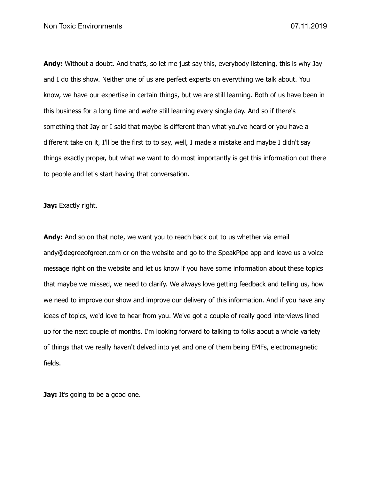**Andy:** Without a doubt. And that's, so let me just say this, everybody listening, this is why Jay and I do this show. Neither one of us are perfect experts on everything we talk about. You know, we have our expertise in certain things, but we are still learning. Both of us have been in this business for a long time and we're still learning every single day. And so if there's something that Jay or I said that maybe is different than what you've heard or you have a different take on it, I'll be the first to to say, well, I made a mistake and maybe I didn't say things exactly proper, but what we want to do most importantly is get this information out there to people and let's start having that conversation.

**Jay:** Exactly right.

**Andy:** And so on that note, we want you to reach back out to us whether via email andy@degreeofgreen.com or on the website and go to the SpeakPipe app and leave us a voice message right on the website and let us know if you have some information about these topics that maybe we missed, we need to clarify. We always love getting feedback and telling us, how we need to improve our show and improve our delivery of this information. And if you have any ideas of topics, we'd love to hear from you. We've got a couple of really good interviews lined up for the next couple of months. I'm looking forward to talking to folks about a whole variety of things that we really haven't delved into yet and one of them being EMFs, electromagnetic fields.

**Jay:** It's going to be a good one.